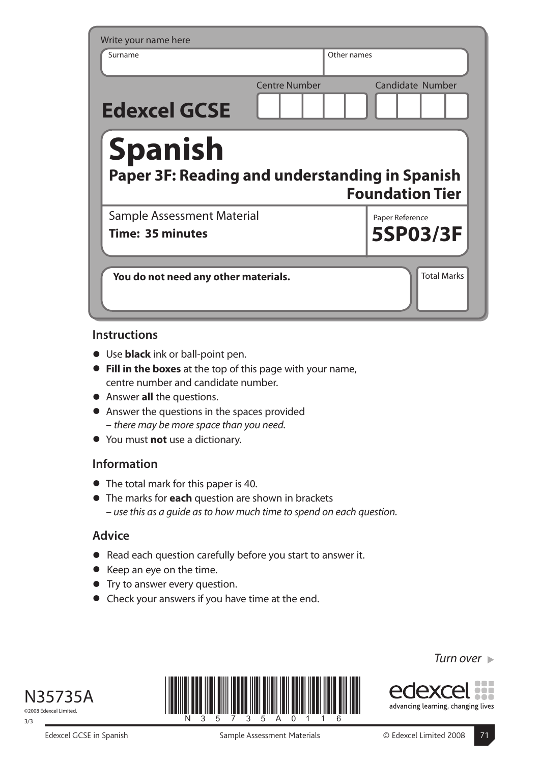| Write your name here       |                                                                                 |
|----------------------------|---------------------------------------------------------------------------------|
| Surname                    | Other names                                                                     |
| <b>Edexcel GCSE</b>        | <b>Centre Number</b><br><b>Candidate Number</b>                                 |
|                            |                                                                                 |
| <b>Spanish</b>             | <b>Paper 3F: Reading and understanding in Spanish</b><br><b>Foundation Tier</b> |
| Sample Assessment Material | Paper Reference                                                                 |
| <b>Time: 35 minutes</b>    | <b>5SP03/3F</b>                                                                 |

# **Instructions**

- **•** Use **black** ink or ball-point pen.
- **• Fill in the boxes** at the top of this page with your name, centre number and candidate number.
- **•** Answer **all** the questions.
- **•** Answer the questions in the spaces provided – *there may be more space than you need*.
- **•** You must **not** use a dictionary.

# **Information**

- **•** The total mark for this paper is 40.
- **•** The marks for **each** question are shown in brackets  *– use this as a guide as to how much time to spend on each question.*

# **Advice**

- **•** Read each question carefully before you start to answer it.
- **•** Keep an eye on the time.
- **•** Try to answer every question.
- **•** Check your answers if you have time at the end.

 *Turn over*



N35735A ©2008 Edexcel Limited. 3/3

<u>\* N3573, Andrej Andrej Andrej Andrej Andrej Andrej Andrej Andrej Andrej Andrej Andrej Andrej Andrej Andrej An</u>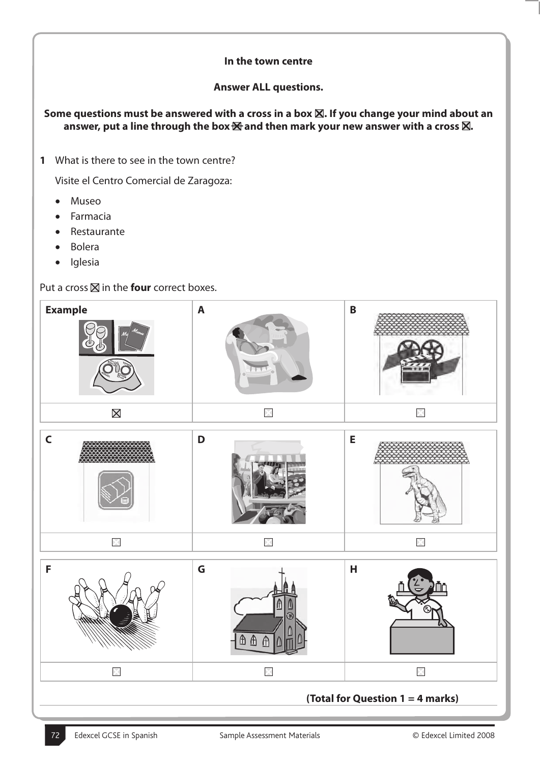### **In the town centre**

## **Answer ALL questions.**

Some questions must be answered with a cross in a box  $\boxtimes$ . If you change your mind about an answer, put a line through the box  $\mathbb X$  and then mark your new answer with a cross  $\mathbb X$ .

**1** What is there to see in the town centre?

Visite el Centro Comercial de Zaragoza:

- Museo
- **Farmacia**
- Restaurante
- Bolera
- Iglesia

# Put a cross  $\boxtimes$  in the **four** correct boxes.

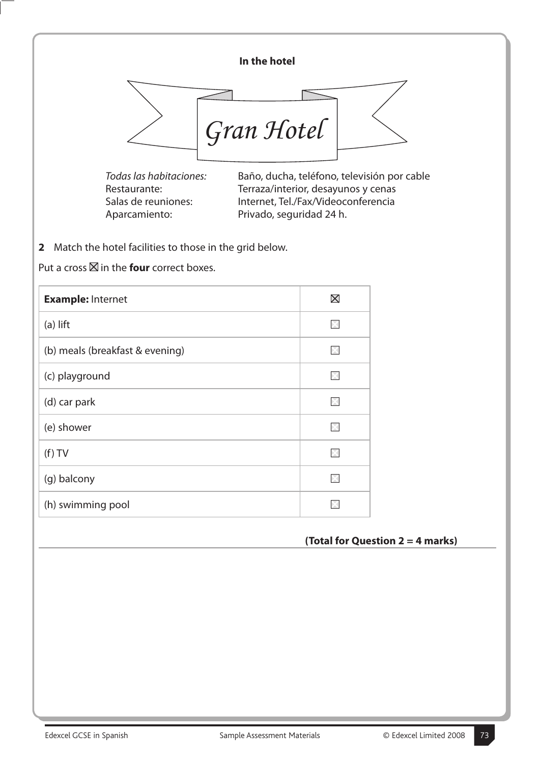#### **In the hotel**



*Todas las habitaciones:* Baño, ducha, teléfono, televisión por cable Restaurante: Terraza/interior, desayunos y cenas Salas de reuniones: Internet, Tel./Fax/Videoconferencia Aparcamiento: Privado, seguridad 24 h.

**2** Match the hotel facilities to those in the grid below.

Put a cross  $\boxtimes$  in the **four** correct boxes.

| <b>Example: Internet</b>        | $\boxtimes$    |
|---------------------------------|----------------|
| $(a)$ lift                      | $\mathbb{R}^2$ |
| (b) meals (breakfast & evening) | X              |
| (c) playground                  | ×              |
| (d) car park                    | M              |
| (e) shower                      | ×              |
| (f) TV                          | X              |
| (g) balcony                     | ÞК             |
| (h) swimming pool               |                |

# **(Total for Question 2 = 4 marks)**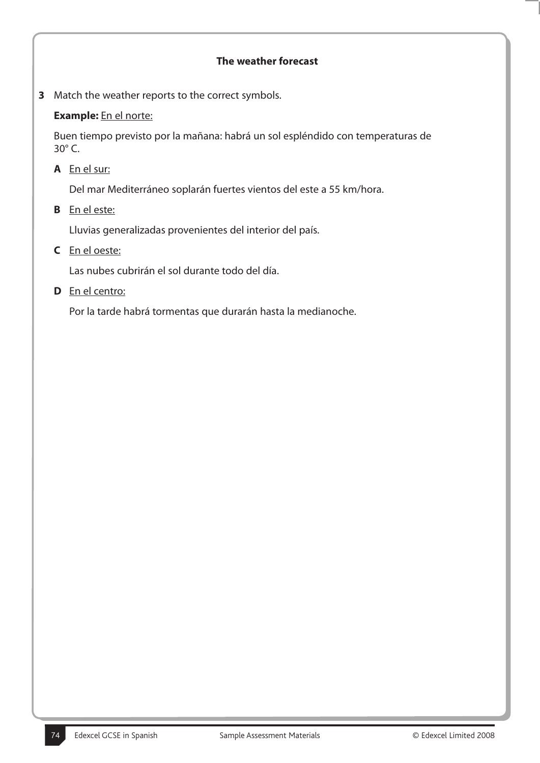# **The weather forecast**

**3** Match the weather reports to the correct symbols.

# **Example:** En el norte:

 Buen tiempo previsto por la mañana: habrá un sol espléndido con temperaturas de  $30^\circ$  C.

 **A** En el sur:

Del mar Mediterráneo soplarán fuertes vientos del este a 55 km/hora.

 **B** En el este:

Lluvias generalizadas provenientes del interior del país.

 **C** En el oeste:

Las nubes cubrirán el sol durante todo del día.

 **D** En el centro:

Por la tarde habrá tormentas que durarán hasta la medianoche.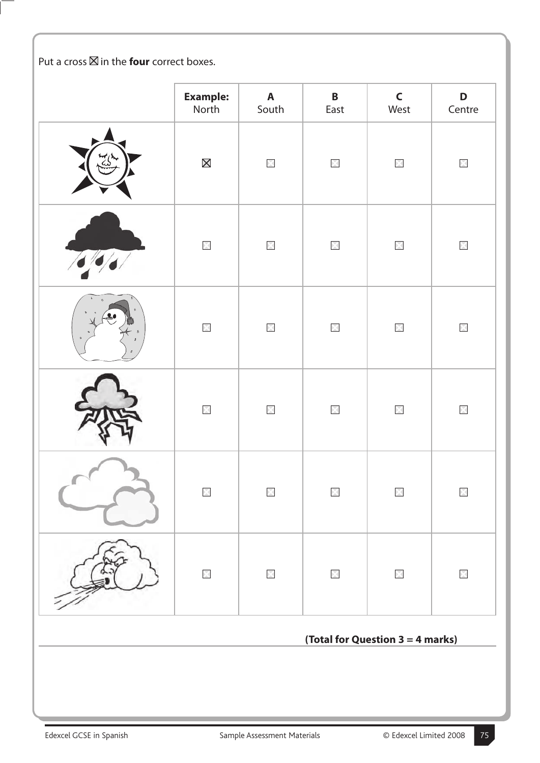Put a cross  $\boxtimes$  in the **four** correct boxes.

|          | <b>Example:</b><br>North                                            | $\boldsymbol{\mathsf{A}}$<br>South | $\pmb B$<br>East | $\mathsf C$<br>West | $\mathsf D$<br>Centre |
|----------|---------------------------------------------------------------------|------------------------------------|------------------|---------------------|-----------------------|
| بہد<br>ω | $\mathsf{X}% _{0}^{X\rightarrow\mathsf{Y}}\left( \mathsf{X}\right)$ | $\times$                           | $\times$         | $\times$            | $\times$              |
|          | $\mathbb{X}$                                                        | $\times$                           | $\times$         | $\times$            | $\times$              |
|          | $\sum_{i=1}^{N}$                                                    | $\times$                           | $\geq$           | $\times$            | $\boxtimes$           |
|          | $\mathbb{X}$                                                        | $\mathbb{X}$                       | $\geq$           | $\geq$              | $\boxtimes$           |
|          | $\overline{\mathbb{X}}$                                             | $\times$                           | $\boxtimes$      | $\times$            | $\boxtimes$           |
|          | $\times$                                                            | $\boxtimes$                        | $\times$         | $\times$            | $\times$              |

# **(Total for Question 3 = 4 marks)**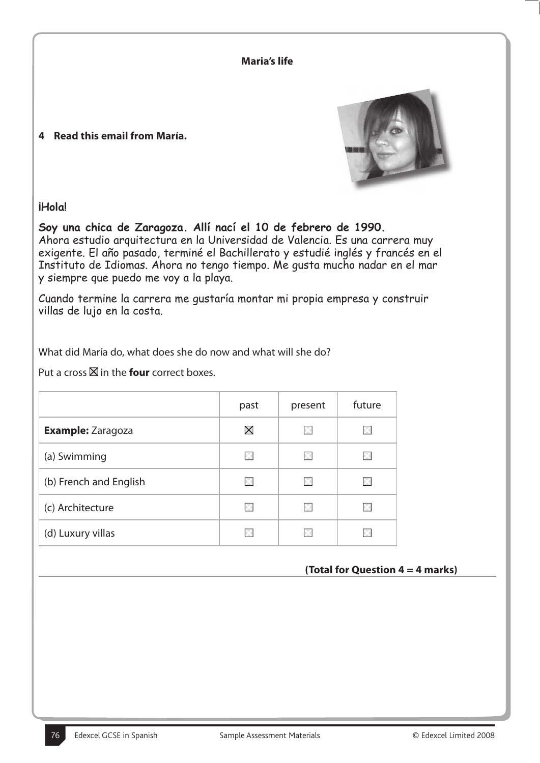### **Maria's life**

# **4 Read this email from María.**



## **¡Hola!**

**Soy una chica de Zaragoza. Allí nací el 10 de febrero de 1990.** Ahora estudio arquitectura en la Universidad de Valencia. Es una carrera muy exigente. El año pasado, terminé el Bachillerato y estudié inglés y francés en el Instituto de Idiomas. Ahora no tengo tiempo. Me gusta mucho nadar en el mar y siempre que puedo me voy a la playa.

Cuando termine la carrera me gustaría montar mi propia empresa y construir villas de lujo en la costa.

What did María do, what does she do now and what will she do?

Put a cross  $\boxtimes$  in the **four** correct boxes.

|                          | past        | present | future                           |
|--------------------------|-------------|---------|----------------------------------|
| <b>Example: Zaragoza</b> | $\boxtimes$ |         | $>\zeta$                         |
| (a) Swimming             | $\times$    |         | $>\left\vert \cdot\right\rangle$ |
| (b) French and English   | $\times$    | ÞК      | X                                |
| (c) Architecture         | $\times$    | X       | ×                                |
| (d) Luxury villas        | ×           |         |                                  |

# **(Total for Question 4 = 4 marks)**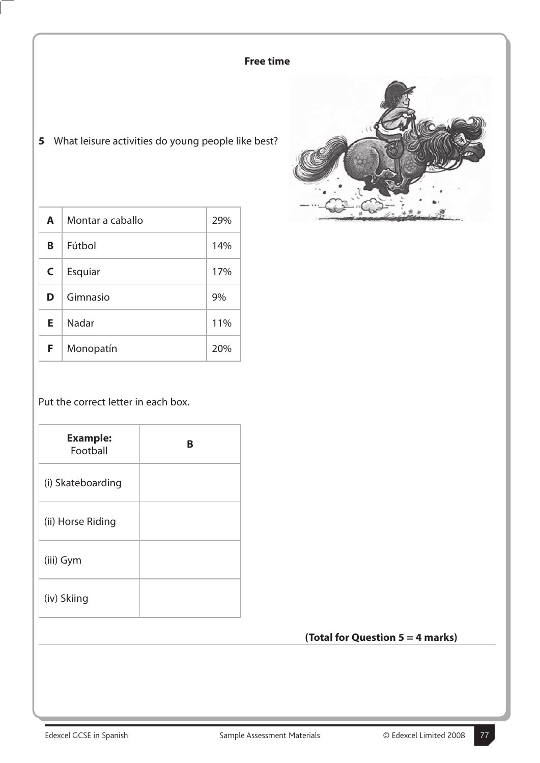### **Free time**



# **5** What leisure activities do young people like best?

| A  | Montar a caballo | 29% |
|----|------------------|-----|
| B  | Fútbol           | 14% |
| C  | Esquiar          | 17% |
| D  | Gimnasio         | 9%  |
| E. | Nadar            | 11% |
| F  | Monopatín        | 20% |

Put the correct letter in each box.

| <b>Example:</b><br>Football | B |
|-----------------------------|---|
| (i) Skateboarding           |   |
| (ii) Horse Riding           |   |
| (iii) Gym                   |   |
| (iv) Skiing                 |   |

# **(Total for Question 5 = 4 marks)**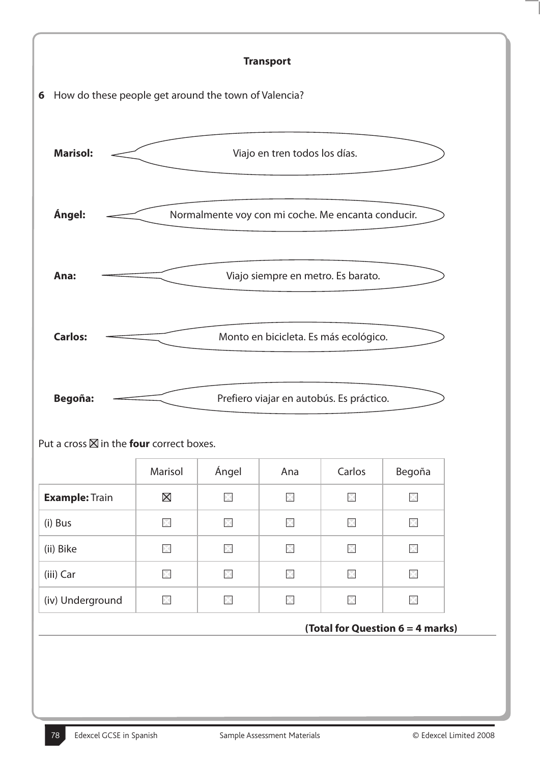| How do these people get around the town of Valencia?      |             |             |                               |                                                    |             |
|-----------------------------------------------------------|-------------|-------------|-------------------------------|----------------------------------------------------|-------------|
|                                                           |             |             |                               |                                                    |             |
| <b>Marisol:</b>                                           |             |             | Viajo en tren todos los días. |                                                    |             |
| Ángel:                                                    |             |             |                               | Normalmente voy con mi coche. Me encanta conducir. |             |
| Ana:                                                      |             |             |                               | Viajo siempre en metro. Es barato.                 |             |
|                                                           |             |             |                               |                                                    |             |
| <b>Carlos:</b>                                            |             |             |                               | Monto en bicicleta. Es más ecológico.              |             |
| Begoña:                                                   |             |             |                               | Prefiero viajar en autobús. Es práctico.           |             |
| Put a cross $\boxtimes$ in the <b>four</b> correct boxes. |             |             |                               |                                                    |             |
|                                                           | Marisol     | Ángel       | Ana                           | Carlos                                             | Begoña      |
| <b>Example: Train</b>                                     | $\boxtimes$ | $\times$    | $\times$                      | $\times$                                           | $\times$    |
| (i) Bus                                                   | $\times$    | $\times$    | $\times$                      | $\times$                                           | $\times$    |
|                                                           | ×           | $\boxtimes$ | $\times$                      | $\boxtimes$                                        | $\times$    |
| (ii) Bike<br>(iii) Car                                    | $\times$    | $\times$    | $\boxtimes$                   | $\times$                                           | $\boxtimes$ |
| (iv) Underground                                          | $\times$    | $\times$    | $\times$                      | $\times$                                           | $\times$    |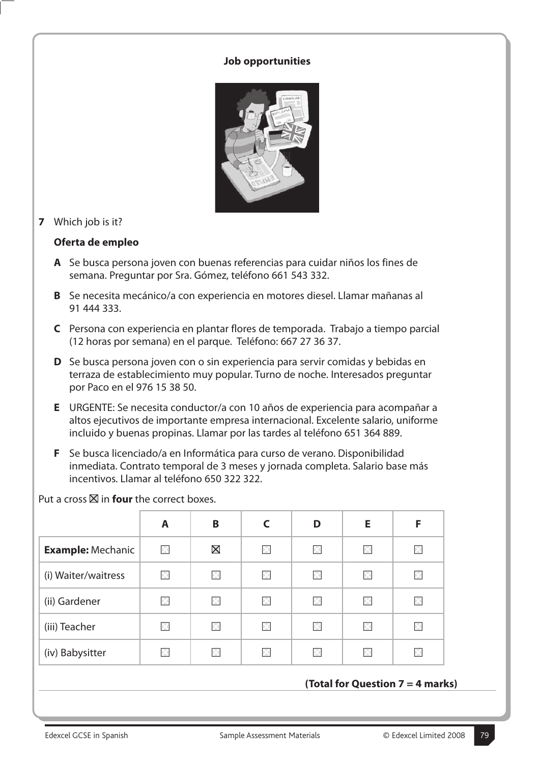#### **Job opportunities**



## **7** Which job is it?

### **Oferta de empleo**

- **A** Se busca persona joven con buenas referencias para cuidar niños los fines de semana. Preguntar por Sra. Gómez, teléfono 661 543 332.
- **B** Se necesita mecánico/a con experiencia en motores diesel. Llamar mañanas al 91 444 333.
- **C** Persona con experiencia en plantar flores de temporada. Trabajo a tiempo parcial (12 horas por semana) en el parque. Teléfono: 667 27 36 37.
- **D** Se busca persona joven con o sin experiencia para servir comidas y bebidas en terraza de establecimiento muy popular. Turno de noche. Interesados preguntar por Paco en el 976 15 38 50.
- **E** URGENTE: Se necesita conductor/a con 10 años de experiencia para acompañar a altos ejecutivos de importante empresa internacional. Excelente salario, uniforme incluido y buenas propinas. Llamar por las tardes al teléfono 651 364 889.
- **F** Se busca licenciado/a en Informática para curso de verano. Disponibilidad inmediata. Contrato temporal de 3 meses y jornada completa. Salario base más incentivos. Llamar al teléfono 650 322 322.

Put a cross  $\boxtimes$  in **four** the correct boxes.

|                          | A | B           | $\epsilon$ | D  | Е        | F        |
|--------------------------|---|-------------|------------|----|----------|----------|
| <b>Example: Mechanic</b> | X | $\boxtimes$ | ×          | ÞС | ×        | X        |
| (i) Waiter/waitress      |   | ×           | $\times$   | X  | $\times$ | ×        |
| (ii) Gardener            |   | X           | ×          | ÞК | $\times$ | ×        |
| (iii) Teacher            |   | $\times$    | X          | X  | $\times$ | $\times$ |
| (iv) Babysitter          |   | $\times$    | ×          | X  | $\times$ | ×        |

### **(Total for Question 7 = 4 marks)**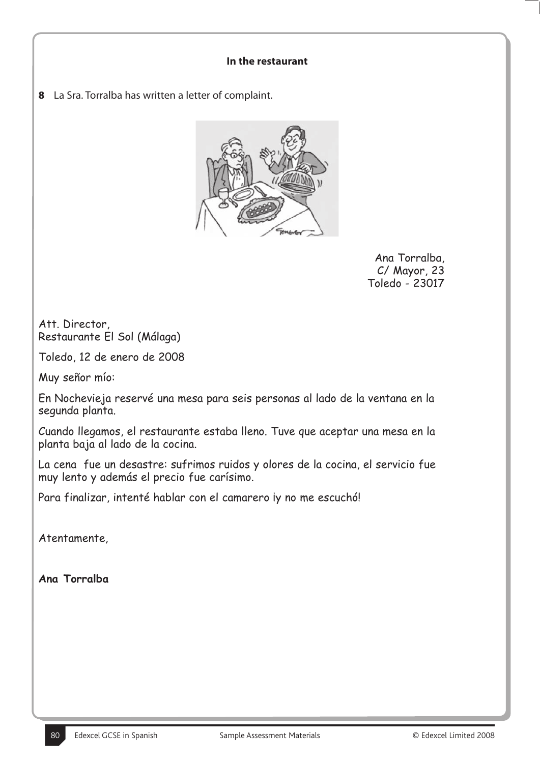### **In the restaurant**

**8** La Sra. Torralba has written a letter of complaint.



Ana Torralba, C/ Mayor, 23 Toledo - 23017

Att. Director, Restaurante El Sol (Málaga)

Toledo, 12 de enero de 2008

Muy señor mío:

En Nochevieja reservé una mesa para seis personas al lado de la ventana en la segunda planta.

Cuando llegamos, el restaurante estaba lleno. Tuve que aceptar una mesa en la planta baja al lado de la cocina.

La cena fue un desastre: sufrimos ruidos y olores de la cocina, el servicio fue muy lento y además el precio fue carísimo.

Para finalizar, intenté hablar con el camarero iy no me escuchó!

Atentamente,

**Ana Torralba**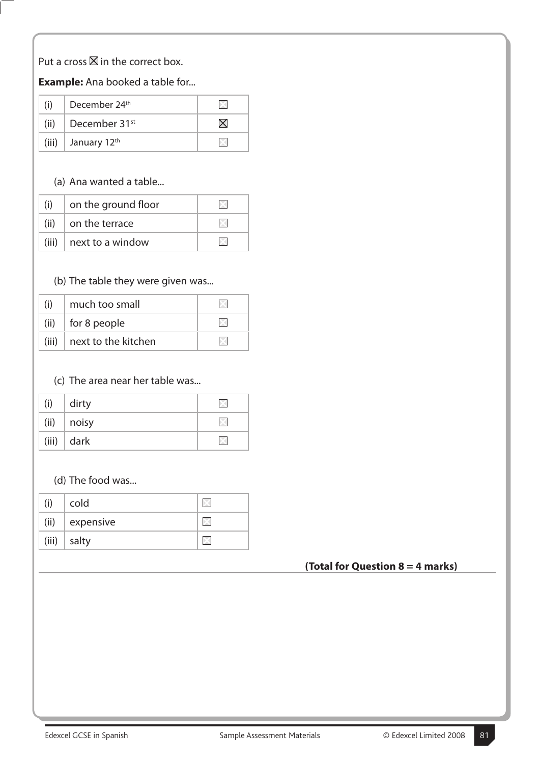# Put a cross  $\boxtimes$  in the correct box.

**Example:** Ana booked a table for...

| (i)   | December 24th             |  |
|-------|---------------------------|--|
| (ii)  | December 31 <sup>st</sup> |  |
| (iii) | January 12th              |  |

# (a) Ana wanted a table...

| (i)   | on the ground floor |  |
|-------|---------------------|--|
| (ii)  | on the terrace      |  |
| (iii) | next to a window    |  |

# (b) The table they were given was...

| (i)   | much too small       |  |
|-------|----------------------|--|
| (ii)  | $\vert$ for 8 people |  |
| (iii) | next to the kitchen  |  |

# (c) The area near her table was...

| (i)   | dirty |  |
|-------|-------|--|
| (ii)  | noisy |  |
| (iii) | dark  |  |

### (d) The food was...

|       | cold      |  |
|-------|-----------|--|
| (ii)  | expensive |  |
| (iii) | salty     |  |

# **(Total for Question 8 = 4 marks)**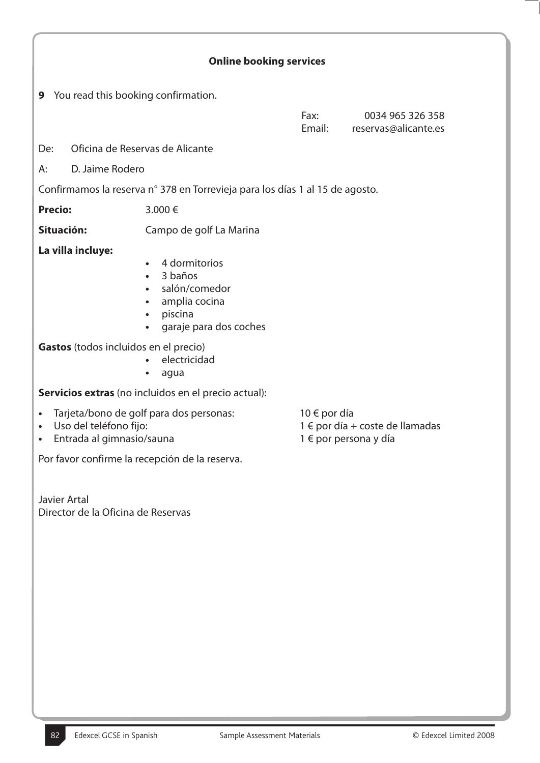| <b>Online booking services</b>                                                                                                        |                                                                                                                                                                               |                  |                                                          |  |
|---------------------------------------------------------------------------------------------------------------------------------------|-------------------------------------------------------------------------------------------------------------------------------------------------------------------------------|------------------|----------------------------------------------------------|--|
| 9 You read this booking confirmation.                                                                                                 |                                                                                                                                                                               |                  |                                                          |  |
|                                                                                                                                       |                                                                                                                                                                               | Fax:<br>Email:   | 0034 965 326 358<br>reservas@alicante.es                 |  |
| Oficina de Reservas de Alicante<br>De:                                                                                                |                                                                                                                                                                               |                  |                                                          |  |
| D. Jaime Rodero<br>A:                                                                                                                 |                                                                                                                                                                               |                  |                                                          |  |
|                                                                                                                                       | Confirmamos la reserva nº 378 en Torrevieja para los días 1 al 15 de agosto.                                                                                                  |                  |                                                          |  |
| <b>Precio:</b>                                                                                                                        | 3.000 €                                                                                                                                                                       |                  |                                                          |  |
| Situación:                                                                                                                            | Campo de golf La Marina                                                                                                                                                       |                  |                                                          |  |
| La villa incluye:                                                                                                                     | 4 dormitorios<br>$\bullet$<br>3 baños<br>$\bullet$<br>salón/comedor<br>$\bullet$<br>amplia cocina<br>$\bullet$<br>piscina<br>$\bullet$<br>garaje para dos coches<br>$\bullet$ |                  |                                                          |  |
| Gastos (todos incluidos en el precio)                                                                                                 | electricidad<br>agua<br>٠                                                                                                                                                     |                  |                                                          |  |
| Servicios extras (no incluidos en el precio actual):                                                                                  |                                                                                                                                                                               |                  |                                                          |  |
| Tarjeta/bono de golf para dos personas:<br>$\bullet$<br>Uso del teléfono fijo:<br>$\bullet$<br>Entrada al gimnasio/sauna<br>$\bullet$ |                                                                                                                                                                               | $10 \in$ por día | 1 € por día + coste de llamadas<br>1 € por persona y día |  |
| Por favor confirme la recepción de la reserva.                                                                                        |                                                                                                                                                                               |                  |                                                          |  |

Javier Artal Director de la Oficina de Reservas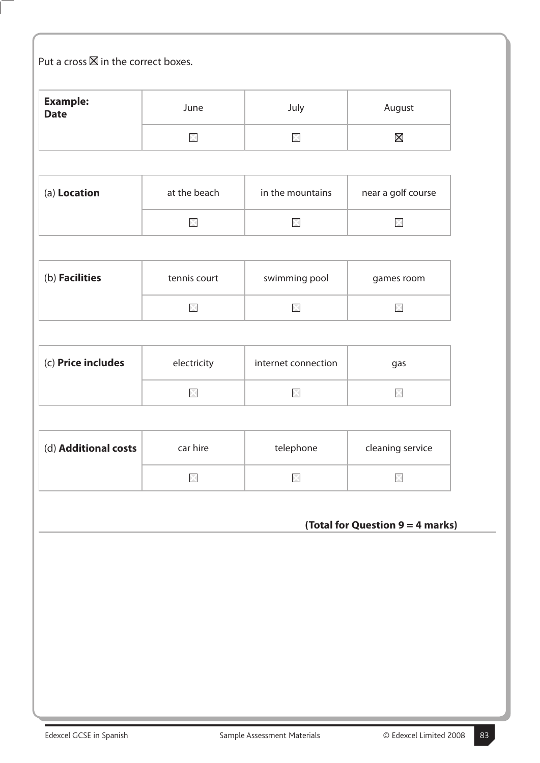|                      | June         | July                | August             |
|----------------------|--------------|---------------------|--------------------|
|                      | $\times$     | $\times$            | $\boxtimes$        |
| (a) Location         | at the beach | in the mountains    | near a golf course |
|                      | $\boxtimes$  | $\times$            | $\times$           |
|                      |              |                     |                    |
| (b) Facilities       | tennis court | swimming pool       | games room         |
|                      | $\boxtimes$  | $\times$            | $\times$           |
|                      |              |                     |                    |
| (c) Price includes   | electricity  | internet connection | gas                |
|                      | $\boxtimes$  | X                   | X                  |
|                      |              |                     |                    |
| (d) Additional costs | car hire     | telephone           | cleaning service   |
|                      | $\times$     | $\times$            | $\times$           |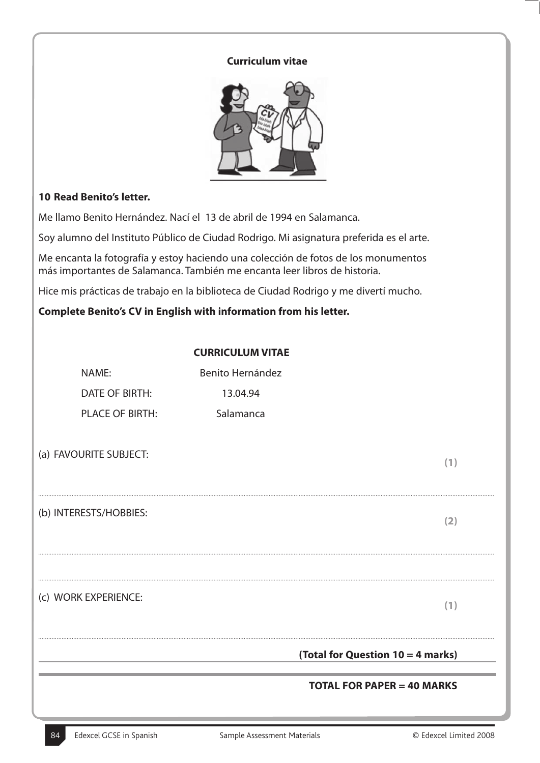#### **Curriculum vitae**



# **10 Read Benito's letter.**

Me llamo Benito Hernández. Nací el 13 de abril de 1994 en Salamanca.

Soy alumno del Instituto Público de Ciudad Rodrigo. Mi asignatura preferida es el arte.

Me encanta la fotografía y estoy haciendo una colección de fotos de los monumentos más importantes de Salamanca. También me encanta leer libros de historia.

Hice mis prácticas de trabajo en la biblioteca de Ciudad Rodrigo y me divertí mucho.

**Complete Benito's CV in English with information from his letter.**

|                        | <b>CURRICULUM VITAE</b> |                                   |
|------------------------|-------------------------|-----------------------------------|
| NAME:                  | Benito Hernández        |                                   |
| <b>DATE OF BIRTH:</b>  | 13.04.94                |                                   |
| <b>PLACE OF BIRTH:</b> | Salamanca               |                                   |
| (a) FAVOURITE SUBJECT: |                         | (1)                               |
| (b) INTERESTS/HOBBIES: |                         | (2)                               |
| (c) WORK EXPERIENCE:   |                         | (1)                               |
|                        |                         | (Total for Question 10 = 4 marks) |
|                        |                         | <b>TOTAL FOR PAPER = 40 MARKS</b> |
|                        |                         |                                   |

÷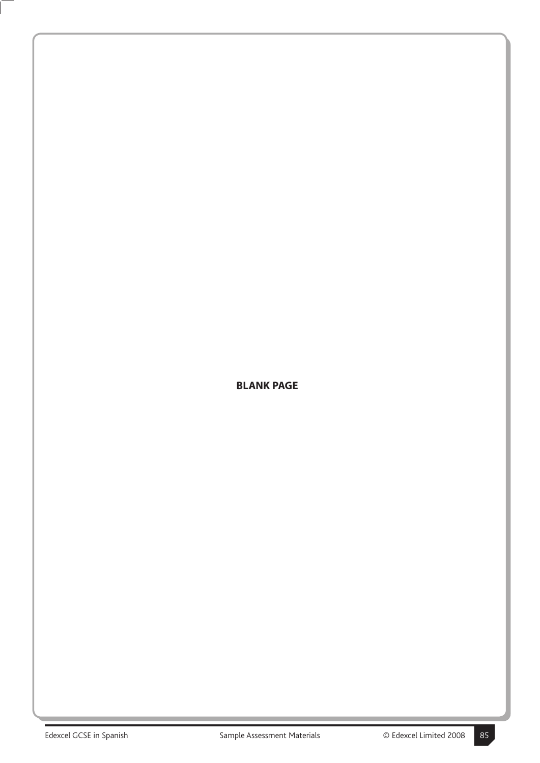**BLANK PAGE**